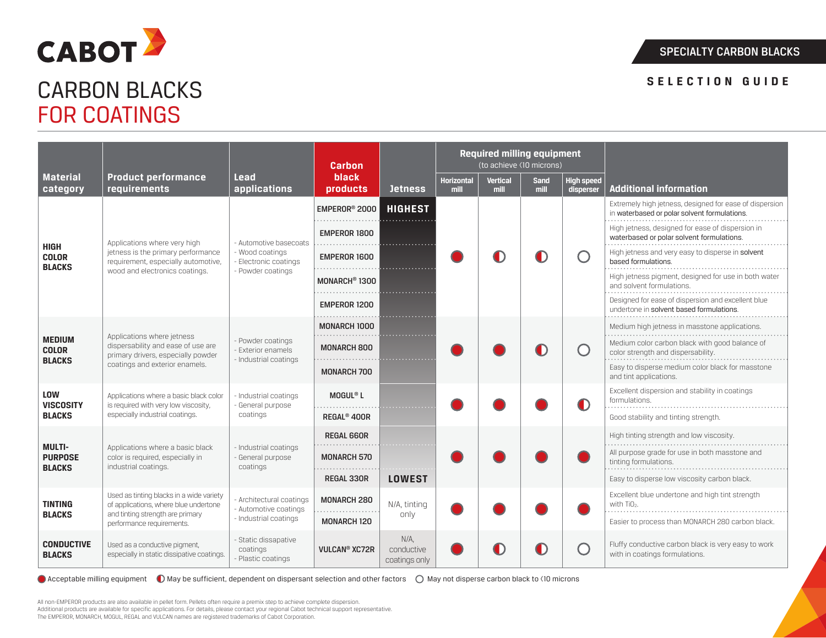



# CARBON BLACKS FOR COATINGS

|                                                  |                                                                                                                                                    |                                                                                       | Carbon                          |                                    | <b>Required milling equipment</b><br>(to achieve <10 microns) |                         |                     |                                               |                                                                                                         |
|--------------------------------------------------|----------------------------------------------------------------------------------------------------------------------------------------------------|---------------------------------------------------------------------------------------|---------------------------------|------------------------------------|---------------------------------------------------------------|-------------------------|---------------------|-----------------------------------------------|---------------------------------------------------------------------------------------------------------|
| <b>Material</b><br>category                      | <b>Product performance</b><br>requirements                                                                                                         | Lead<br>applications                                                                  | <b>black</b><br>products        | <b>Jetness</b>                     | <b>Horizontal</b><br>mill                                     | <b>Vertical</b><br>mill | <b>Sand</b><br>mill | <b>High speed</b><br>disperser                | <b>Additional information</b>                                                                           |
| HIGH<br><b>COLOR</b><br><b>BLACKS</b>            | Applications where very high<br>jetness is the primary performance<br>requirement, especially automotive,<br>wood and electronics coatings.        | - Automotive basecoats<br>- Wood coatings<br>Electronic coatings<br>- Powder coatings | EMPEROR <sup>®</sup> 2000       | <b>HIGHEST</b>                     |                                                               |                         |                     |                                               | Extremely high jetness, designed for ease of dispersion<br>in waterbased or polar solvent formulations. |
|                                                  |                                                                                                                                                    |                                                                                       | EMPEROR 1800                    |                                    |                                                               |                         |                     |                                               | High jetness, designed for ease of dispersion in<br>waterbased or polar solvent formulations.           |
|                                                  |                                                                                                                                                    |                                                                                       | EMPEROR 1600                    |                                    |                                                               |                         |                     | $\left( \begin{array}{c} \end{array} \right)$ | High jetness and very easy to disperse in solvent<br>based formulations.                                |
|                                                  |                                                                                                                                                    |                                                                                       | MONARCH <sup>®</sup> 1300       |                                    |                                                               |                         |                     |                                               | High jetness pigment, designed for use in both water<br>and solvent formulations.                       |
|                                                  |                                                                                                                                                    |                                                                                       | <b>EMPEROR 1200</b>             |                                    |                                                               |                         |                     |                                               | Designed for ease of dispersion and excellent blue<br>undertone in solvent based formulations.          |
| <b>MEDIUM</b><br><b>COLOR</b><br><b>BLACKS</b>   | Applications where jetness<br>dispersability and ease of use are<br>primary drivers, especially powder                                             | Powder coatings<br>Exterior enamels<br>- Industrial coatings                          | <b>MONARCH 1000</b><br>.        |                                    |                                                               |                         |                     |                                               | Medium high jetness in masstone applications.                                                           |
|                                                  |                                                                                                                                                    |                                                                                       | <b>MONARCH 800</b>              |                                    |                                                               |                         |                     | $\left( \begin{array}{c} \end{array} \right)$ | Medium color carbon black with good balance of<br>color strength and dispersability.                    |
|                                                  | coatings and exterior enamels.                                                                                                                     |                                                                                       | <b>MONARCH 700</b>              |                                    |                                                               |                         |                     |                                               | Easy to disperse medium color black for masstone<br>and tint applications.                              |
| <b>LOW</b><br><b>VISCOSITY</b>                   | Applications where a basic black color<br>is required with very low viscosity,                                                                     | - Industrial coatings<br>- General purpose                                            | $M0$ GUL® L                     |                                    |                                                               |                         |                     |                                               | Excellent dispersion and stability in coatings<br>formulations.                                         |
| <b>BLACKS</b>                                    | especially industrial coatings.                                                                                                                    | coatings                                                                              | REGAL <sup>®</sup> 400R         |                                    |                                                               |                         |                     |                                               | Good stability and tinting strength.                                                                    |
| <b>MULTI-</b><br><b>PURPOSE</b><br><b>BLACKS</b> | Applications where a basic black<br>color is required, especially in<br>industrial coatings.                                                       | - Industrial coatings<br>General purpose<br>coatings                                  | <b>REGAL 660R</b>               |                                    |                                                               |                         |                     |                                               | High tinting strength and low viscosity.                                                                |
|                                                  |                                                                                                                                                    |                                                                                       | <b>MONARCH 570</b>              |                                    |                                                               |                         |                     |                                               | All purpose grade for use in both masstone and<br>tinting formulations.                                 |
|                                                  |                                                                                                                                                    |                                                                                       | <b>REGAL 330R</b>               | <b>LOWEST</b>                      |                                                               |                         |                     |                                               | Easy to disperse low viscosity carbon black.                                                            |
| <b>TINTING</b><br><b>BLACKS</b>                  | Used as tinting blacks in a wide variety<br>of applications, where blue undertone<br>and tinting strength are primary<br>performance requirements. | Architectural coatings<br>- Automotive coatings<br>- Industrial coatings              | <b>MONARCH 280</b>              | N/A, tinting                       |                                                               |                         |                     |                                               | Excellent blue undertone and high tint strength<br>with TiO <sub>2</sub> .                              |
|                                                  |                                                                                                                                                    |                                                                                       | <b>MONARCH 120</b>              | only                               |                                                               |                         |                     |                                               | Easier to process than MONARCH 280 carbon black.                                                        |
| <b>CONDUCTIVE</b><br><b>BLACKS</b>               | Used as a conductive pigment,<br>especially in static dissipative coatings.                                                                        | Static dissapative<br>coatings<br>Plastic coatings                                    | <b>VULCAN<sup>®</sup> XC72R</b> | N/A<br>conductive<br>coatings only |                                                               |                         |                     | 88                                            | Fluffy conductive carbon black is very easy to work<br>with in coatings formulations.                   |

● Acceptable milling equipment ● May be sufficient, dependent on dispersant selection and other factors ● May not disperse carbon black to <10 microns

All non-EMPEROR products are also available in pellet form. Pellets often require a premix step to achieve complete dispersion. Additional products are available for specific applications. For details, please contact your regional Cabot technical support representative. The EMPEROR, MONARCH, MOGUL, REGAL and VULCAN names are registered trademarks of Cabot Corporation.

# **SELECTION GUIDE**